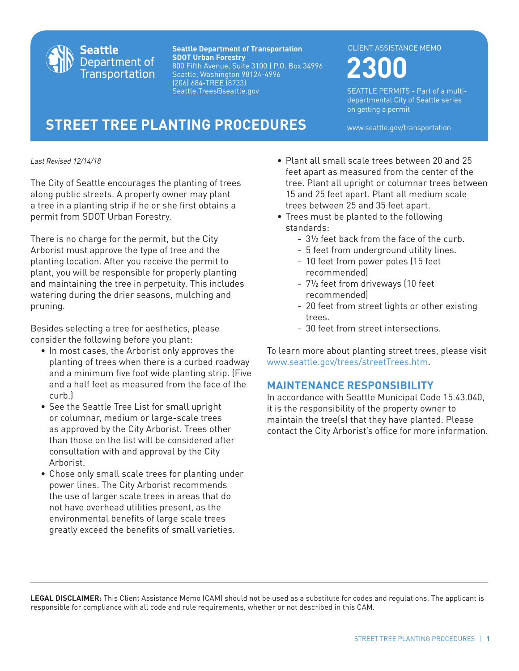

**Seattle Department of Transportation SDOT Urban Forestry** 800 Fifth Avenue, Suite 3100 | P.O. Box 34996 Seattle, Washington 98124-4996 (206) 684-TREE (8733) Seattle.Trees@seattle.gov

#### CLIENT ASSISTANCE MEMO

# **2300**

SEATTLE PERMITS - Part of a multidepartmental City of Seattle series on getting a permit

**STREET TREE PLANTING PROCEDURES** www.seattle.gov/transportation

*Last Revised 12/14/18*

The City of Seattle encourages the planting of trees along public streets. A property owner may plant a tree in a planting strip if he or she first obtains a permit from SDOT Urban Forestry.

There is no charge for the permit, but the City Arborist must approve the type of tree and the planting location. After you receive the permit to plant, you will be responsible for properly planting and maintaining the tree in perpetuity. This includes watering during the drier seasons, mulching and pruning.

Besides selecting a tree for aesthetics, please consider the following before you plant:

- In most cases, the Arborist only approves the planting of trees when there is a curbed roadway and a minimum five foot wide planting strip. (Five and a half feet as measured from the face of the curb.)
- See the Seattle Tree List for small upright or columnar, medium or large-scale trees as approved by the City Arborist. Trees other than those on the list will be considered after consultation with and approval by the City Arborist.
- Chose only small scale trees for planting under power lines. The City Arborist recommends the use of larger scale trees in areas that do not have overhead utilities present, as the environmental benefits of large scale trees greatly exceed the benefits of small varieties.
- Plant all small scale trees between 20 and 25 feet apart as measured from the center of the tree. Plant all upright or columnar trees between 15 and 25 feet apart. Plant all medium scale trees between 25 and 35 feet apart.
- Trees must be planted to the following standards:
	- 3½ feet back from the face of the curb.
	- 5 feet from underground utility lines. - 10 feet from power poles (15 feet
	- recommended) - 7½ feet from driveways (10 feet recommended)
	- 20 feet from street lights or other existing trees.
	- 30 feet from street intersections.

To learn more about planting street trees, please visit www.seattle.gov/trees/streetTrees.htm.

## **MAINTENANCE RESPONSIBILITY**

In accordance with Seattle Municipal Code 15.43.040, it is the responsibility of the property owner to maintain the tree(s) that they have planted. Please contact the City Arborist's office for more information.

**LEGAL DISCLAIMER:** This Client Assistance Memo (CAM) should not be used as a substitute for codes and regulations. The applicant is responsible for compliance with all code and rule requirements, whether or not described in this CAM.